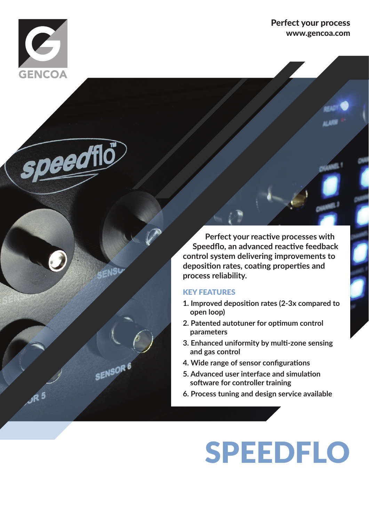

peedflo

SENSL

SENSOR<sup>6</sup>

Perfect your process www.gencoa.com

 **Perfect your reactive processes with Speedflo, an advanced reactive feedback control system delivering improvements to deposition rates, coating properties and process reliability.**

#### KEY FEATURES

- **1. Improved deposition rates (2-3x compared to open loop)**
- **2. Patented autotuner for optimum control parameters**
- **3. Enhanced uniformity by multi-zone sensing and gas control**
- **4. Wide range of sensor configurations**
- **5. Advanced user interface and simulation software for controller training**
- **6. Process tuning and design service available**

# SPEEDFLO